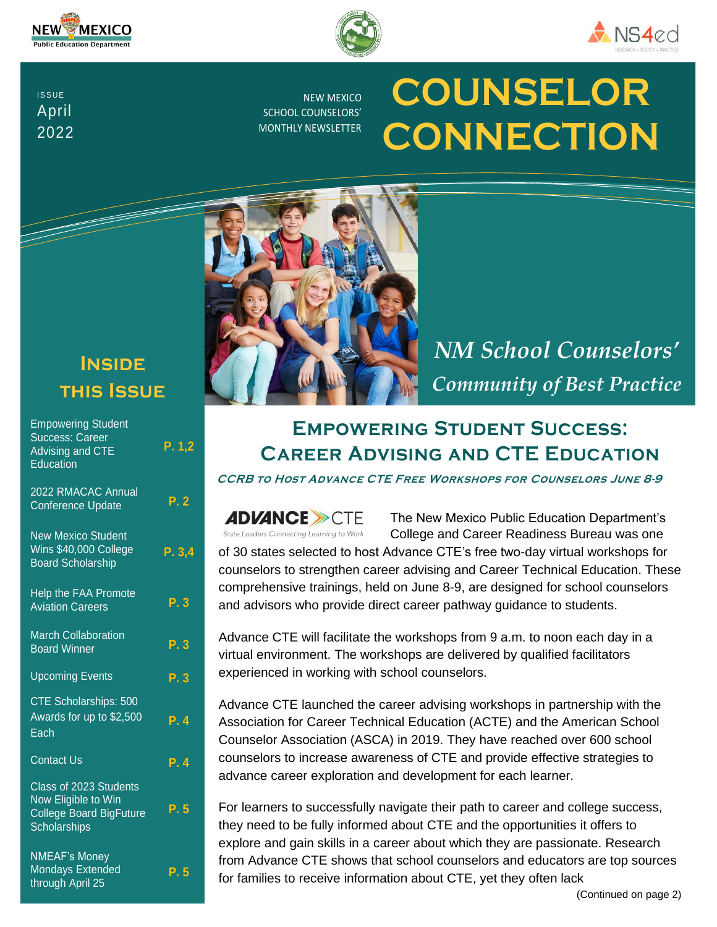





**ISSUE** April 2022

NEW MEXICO SCHOOL COUNSELORS' MONTHLY NEWSLETTER

# **COUNSELOR CONNECTION**

# **Inside this Issue**

| <b>Empowering Student</b><br><b>Success: Career</b><br><b>Advising and CTE</b><br>Education            | P. 1,2                    |
|--------------------------------------------------------------------------------------------------------|---------------------------|
| 2022 RMACAC Annual<br><b>Conference Update</b>                                                         | P.2                       |
| <b>New Mexico Student</b><br>Wins \$40,000 College<br><b>Board Scholarship</b>                         | P. 3,4                    |
| Help the FAA Promote<br><b>Aviation Careers</b>                                                        | P.3                       |
| March Collaboration<br><b>Board Winner</b>                                                             | P. 3                      |
| <b>Upcoming Events</b>                                                                                 | $\overline{\mathsf{P.3}}$ |
| <b>CTE Scholarships: 500</b><br>Awards for up to \$2,500<br>Each                                       | P. 4                      |
| <b>Contact Us</b>                                                                                      | P.4                       |
| Class of 2023 Students<br>Now Eligible to Win<br><b>College Board BigFuture</b><br><b>Scholarships</b> | P. 5                      |
| <b>NMEAF's Money</b><br><b>Mondays Extended</b><br>through April 25                                    | P.5                       |



*NM School Counselors' Community of Best Practice*

# **Empowering Student Success: Career Advising and CTE Education**

**CCRB to Host Advance CTE Free Workshops for Counselors June 8-9**



The New Mexico Public Education Department's College and Career Readiness Bureau was one

of 30 states selected to host Advance CTE's free two-day virtual workshops for counselors to strengthen career advising and Career Technical Education. These comprehensive trainings, held on June 8-9, are designed for school counselors and advisors who provide direct career pathway guidance to students.

Advance CTE will facilitate the workshops from 9 a.m. to noon each day in a virtual environment. The workshops are delivered by qualified facilitators experienced in working with school counselors.

Advance CTE launched the career advising workshops in partnership with the Association for Career Technical Education (ACTE) and the American School Counselor Association (ASCA) in 2019. They have reached over 600 school counselors to increase awareness of CTE and provide effective strategies to advance career exploration and development for each learner.

For learners to successfully navigate their path to career and college success, they need to be fully informed about CTE and the opportunities it offers to explore and gain skills in a career about which they are passionate. Research from Advance CTE shows that school counselors and educators are top sources for families to receive information about CTE, yet they often lack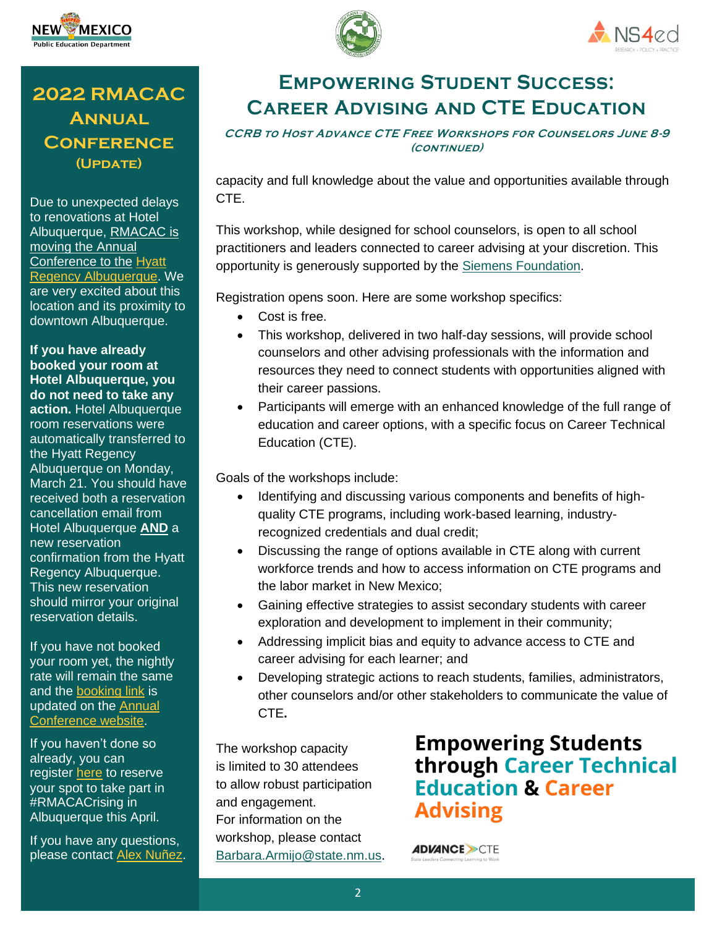





## **2022 RMACAC Annual Conference (Update)**

Due to unexpected delays to renovations at Hotel Albuquerque, RMACAC is moving the Annual Conference to the [Hyatt](https://gcc02.safelinks.protection.outlook.com/?url=http%3A%2F%2Frmacac.memberclicks.net%2Fmessage2%2Flink%2Fbe3238eb-f125-4eaf-925b-36b15f863388%2F1&data=04%7C01%7Cbarbara.armijo%40state.nm.us%7C51b45ed19f9b4b6ecfbc08da06c9d1bf%7C04aa6bf4d436426fbfa404b7a70e60ff%7C0%7C0%7C637829761123946328%7CUnknown%7CTWFpbGZsb3d8eyJWIjoiMC4wLjAwMDAiLCJQIjoiV2luMzIiLCJBTiI6Ik1haWwiLCJXVCI6Mn0%3D%7C3000&sdata=E1cn%2Bx3EE1iqIz8OhAv2lUiyoeVCuipkSnb3L9JWlhE%3D&reserved=0)  [Regency Albuquerque.](https://gcc02.safelinks.protection.outlook.com/?url=http%3A%2F%2Frmacac.memberclicks.net%2Fmessage2%2Flink%2Fbe3238eb-f125-4eaf-925b-36b15f863388%2F1&data=04%7C01%7Cbarbara.armijo%40state.nm.us%7C51b45ed19f9b4b6ecfbc08da06c9d1bf%7C04aa6bf4d436426fbfa404b7a70e60ff%7C0%7C0%7C637829761123946328%7CUnknown%7CTWFpbGZsb3d8eyJWIjoiMC4wLjAwMDAiLCJQIjoiV2luMzIiLCJBTiI6Ik1haWwiLCJXVCI6Mn0%3D%7C3000&sdata=E1cn%2Bx3EE1iqIz8OhAv2lUiyoeVCuipkSnb3L9JWlhE%3D&reserved=0) We are very excited about this location and its proximity to downtown Albuquerque.

**If you have already booked your room at Hotel Albuquerque, you do not need to take any action.** Hotel Albuquerque room reservations were automatically transferred to the Hyatt Regency Albuquerque on Monday, March 21. You should have received both a reservation cancellation email from Hotel Albuquerque **AND** a new reservation confirmation from the Hyatt Regency Albuquerque. This new reservation should mirror your original reservation details.

If you have not booked your room yet, the nightly rate will remain the same and the [booking link](https://gcc02.safelinks.protection.outlook.com/?url=http%3A%2F%2Frmacac.memberclicks.net%2Fmessage2%2Flink%2Fbe3238eb-f125-4eaf-925b-36b15f863388%2F3&data=04%7C01%7Cbarbara.armijo%40state.nm.us%7C51b45ed19f9b4b6ecfbc08da06c9d1bf%7C04aa6bf4d436426fbfa404b7a70e60ff%7C0%7C0%7C637829761124102709%7CUnknown%7CTWFpbGZsb3d8eyJWIjoiMC4wLjAwMDAiLCJQIjoiV2luMzIiLCJBTiI6Ik1haWwiLCJXVCI6Mn0%3D%7C3000&sdata=4l8CpKcK2DM7rK1waoNRIwq8FvE2tYSbyDn4k%2FKlKPQ%3D&reserved=0) is updated on the [Annual](https://gcc02.safelinks.protection.outlook.com/?url=http%3A%2F%2Frmacac.memberclicks.net%2Fmessage2%2Flink%2Fbe3238eb-f125-4eaf-925b-36b15f863388%2F4&data=04%7C01%7Cbarbara.armijo%40state.nm.us%7C51b45ed19f9b4b6ecfbc08da06c9d1bf%7C04aa6bf4d436426fbfa404b7a70e60ff%7C0%7C0%7C637829761124102709%7CUnknown%7CTWFpbGZsb3d8eyJWIjoiMC4wLjAwMDAiLCJQIjoiV2luMzIiLCJBTiI6Ik1haWwiLCJXVCI6Mn0%3D%7C3000&sdata=Kgfdt%2B6QSojd0Xv5SdvfzACHeBm9o2wDAJR7c9LE6YQ%3D&reserved=0)  [Conference website.](https://gcc02.safelinks.protection.outlook.com/?url=http%3A%2F%2Frmacac.memberclicks.net%2Fmessage2%2Flink%2Fbe3238eb-f125-4eaf-925b-36b15f863388%2F4&data=04%7C01%7Cbarbara.armijo%40state.nm.us%7C51b45ed19f9b4b6ecfbc08da06c9d1bf%7C04aa6bf4d436426fbfa404b7a70e60ff%7C0%7C0%7C637829761124102709%7CUnknown%7CTWFpbGZsb3d8eyJWIjoiMC4wLjAwMDAiLCJQIjoiV2luMzIiLCJBTiI6Ik1haWwiLCJXVCI6Mn0%3D%7C3000&sdata=Kgfdt%2B6QSojd0Xv5SdvfzACHeBm9o2wDAJR7c9LE6YQ%3D&reserved=0)

If you haven't done so already, you can register **[here](https://gcc02.safelinks.protection.outlook.com/?url=http%3A%2F%2Frmacac.memberclicks.net%2Fmessage2%2Flink%2Fbe3238eb-f125-4eaf-925b-36b15f863388%2F5&data=04%7C01%7Cbarbara.armijo%40state.nm.us%7C51b45ed19f9b4b6ecfbc08da06c9d1bf%7C04aa6bf4d436426fbfa404b7a70e60ff%7C0%7C0%7C637829761124102709%7CUnknown%7CTWFpbGZsb3d8eyJWIjoiMC4wLjAwMDAiLCJQIjoiV2luMzIiLCJBTiI6Ik1haWwiLCJXVCI6Mn0%3D%7C3000&sdata=oaYhdAoY7CAxca5A078jXaEsjdrzcUvvTDMuBjNFfAI%3D&reserved=0)** to reserve your spot to take part in #RMACACrising in Albuquerque this April.

If you have any questions, please contact [Alex Nuñez.](mailto:atn1990@arizona.edu)



**CCRB to Host Advance CTE Free Workshops for Counselors June 8-9 (continued)**

capacity and full knowledge about the value and opportunities available through CTE.

This workshop, while designed for school counselors, is open to all school practitioners and leaders connected to career advising at your discretion. This opportunity is generously supported by the [Siemens Foundation.](https://new.siemens.com/us/en/company/about/usa-foundations.html)

Registration opens soon. Here are some workshop specifics:

- Cost is free.
- This workshop, delivered in two half-day sessions, will provide school counselors and other advising professionals with the information and resources they need to connect students with opportunities aligned with their career passions.
- Participants will emerge with an enhanced knowledge of the full range of education and career options, with a specific focus on Career Technical Education (CTE).

Goals of the workshops include:

- Identifying and discussing various components and benefits of highquality CTE programs, including work-based learning, industryrecognized credentials and dual credit;
- Discussing the range of options available in CTE along with current workforce trends and how to access information on CTE programs and the labor market in New Mexico;
- Gaining effective strategies to assist secondary students with career exploration and development to implement in their community;
- Addressing implicit bias and equity to advance access to CTE and career advising for each learner; and
- Developing strategic actions to reach students, families, administrators, other counselors and/or other stakeholders to communicate the value of CTE**.**

The workshop capacity is limited to 30 attendees to allow robust participation and engagement. For information on the workshop, please contact [Barbara.Armijo@state.nm.us.](mailto:Barbara.Armijo@state.nm.us) **Empowering Students** through Career Technical **Education & Career Advising** 

**ADVANCE >>CTE**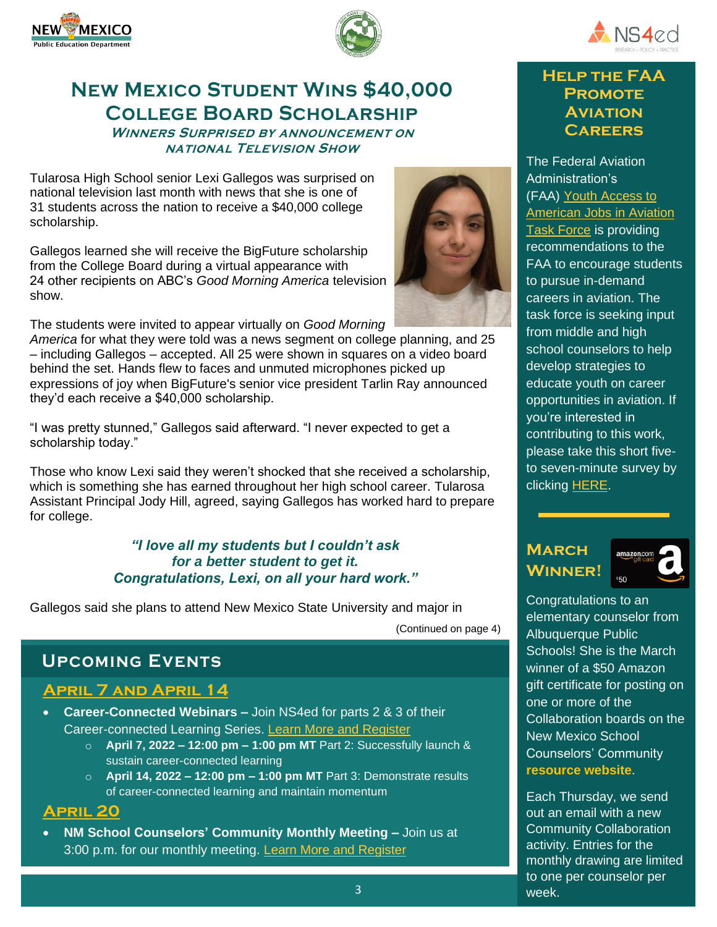





# **New Mexico Student Wins \$40,000 College Board Scholarship**

#### **Winners Surprised by announcement on national Television Show**

Tularosa High School senior Lexi Gallegos was surprised on national television last month with news that she is one of 31 students across the nation to receive a \$40,000 college scholarship.

Gallegos learned she will receive the BigFuture scholarship from the College Board during a virtual appearance with 24 other recipients on ABC's *Good Morning America* television show.

The students were invited to appear virtually on *Good Morning* 

*America* for what they were told was a news segment on college planning, and 25 – including Gallegos – accepted. All 25 were shown in squares on a video board behind the set. Hands flew to faces and unmuted microphones picked up expressions of joy when BigFuture's senior vice president Tarlin Ray announced they'd each receive a \$40,000 scholarship.

"I was pretty stunned," Gallegos [said afterward. "I nev](https://survey.zohopublic.com/zs/nnCaL1)er expected to get a scholarship today."

Those who know Lexi said they weren't shocked that she received a scholarship, which is something she has earned throughout her high school career. Tularosa Assistant Principal Jody Hill, agreed, saying Gallegos has worked hard to prepare for college.

#### *"I love all my students but I couldn't ask for a better student to get it. Congratulations, Lexi, on all your hard work."*

Gallegos said she plans to attend New Mexico State University and major in (Continued on page 4)

## **Upcoming Events**

#### **April 7 and April 14**

- **Career-Connected Webinars –** Join NS4ed for parts 2 & 3 of their Career-connected Learning Series. Learn More and [Register](https://ns4ed.com/resources/career-connected-learning-webinar/)
	- o **April 7, 2022 – 12:00 pm – 1:00 pm MT** Part 2: Successfully launch & sustain career-connected learning
	- o **April 14, 2022 – 12:00 pm – 1:00 pm MT** Part 3: Demonstrate results of career-connected learning and maintain momentum

#### **April 20**

• **NM School Counselors' Community Monthly Meeting –** Join us at 3:00 p.m. for our monthly meeting. Learn More and [Register](https://schoolcounselors-nm.com/event/nm-school-counselors-monthly-meeting-9/)



#### **Help the FAA Promote Aviation Careers**

The Federal Aviation Administration's (FAA) [Youth Access to](https://gcc02.safelinks.protection.outlook.com/?url=http%3A%2F%2Facte-news.informz.net%2Fz%2FcjUucD9taT04NjY1Njc4JnA9MSZ1PTkzNzcwODIwNyZsaT03NTQ1MDE4OQ%2Findex.html&data=04%7C01%7Calexandra.lutz%40state.nm.us%7C05e7e6500bc349e77be208da0787cdbc%7C04aa6bf4d436426fbfa404b7a70e60ff%7C0%7C0%7C637830577114489583%7CUnknown%7CTWFpbGZsb3d8eyJWIjoiMC4wLjAwMDAiLCJQIjoiV2luMzIiLCJBTiI6Ik1haWwiLCJXVCI6Mn0%3D%7C3000&sdata=731jMfDjGcHNMWHAzezfkwQvg5r9tTlPT7kSdptmiW4%3D&reserved=0)  [American Jobs in Aviation](https://gcc02.safelinks.protection.outlook.com/?url=http%3A%2F%2Facte-news.informz.net%2Fz%2FcjUucD9taT04NjY1Njc4JnA9MSZ1PTkzNzcwODIwNyZsaT03NTQ1MDE4OQ%2Findex.html&data=04%7C01%7Calexandra.lutz%40state.nm.us%7C05e7e6500bc349e77be208da0787cdbc%7C04aa6bf4d436426fbfa404b7a70e60ff%7C0%7C0%7C637830577114489583%7CUnknown%7CTWFpbGZsb3d8eyJWIjoiMC4wLjAwMDAiLCJQIjoiV2luMzIiLCJBTiI6Ik1haWwiLCJXVCI6Mn0%3D%7C3000&sdata=731jMfDjGcHNMWHAzezfkwQvg5r9tTlPT7kSdptmiW4%3D&reserved=0)  [Task Force](https://gcc02.safelinks.protection.outlook.com/?url=http%3A%2F%2Facte-news.informz.net%2Fz%2FcjUucD9taT04NjY1Njc4JnA9MSZ1PTkzNzcwODIwNyZsaT03NTQ1MDE4OQ%2Findex.html&data=04%7C01%7Calexandra.lutz%40state.nm.us%7C05e7e6500bc349e77be208da0787cdbc%7C04aa6bf4d436426fbfa404b7a70e60ff%7C0%7C0%7C637830577114489583%7CUnknown%7CTWFpbGZsb3d8eyJWIjoiMC4wLjAwMDAiLCJQIjoiV2luMzIiLCJBTiI6Ik1haWwiLCJXVCI6Mn0%3D%7C3000&sdata=731jMfDjGcHNMWHAzezfkwQvg5r9tTlPT7kSdptmiW4%3D&reserved=0) is providing recommendations to the FAA to encourage students to pursue in-demand careers in aviation. The task force is seeking input from middle and high school counselors to help develop strategies to educate youth on career opportunities in aviation. If you're interested in contributing to this work, please take this short fiveto seven-minute survey by clicking [HERE.](https://gcc02.safelinks.protection.outlook.com/?url=http%3A%2F%2Facte-news.informz.net%2Fz%2FcjUucD9taT04NjY1Njc4JnA9MSZ1PTkzNzcwODIwNyZsaT03NTQ1MDE5MA%2Findex.html&data=04%7C01%7Calexandra.lutz%40state.nm.us%7C05e7e6500bc349e77be208da0787cdbc%7C04aa6bf4d436426fbfa404b7a70e60ff%7C0%7C0%7C637830577114489583%7CUnknown%7CTWFpbGZsb3d8eyJWIjoiMC4wLjAwMDAiLCJQIjoiV2luMzIiLCJBTiI6Ik1haWwiLCJXVCI6Mn0%3D%7C3000&sdata=%2FOMsTx0AtcrrH8CMlKyS8Zv8x9ADKh0NezkEKQNxbtI%3D&reserved=0)

#### **March Winner!**



Congratulations to an elementary counselor from Albuquerque Public Schools! She is the March winner of a \$50 Amazon gift certificate for posting on one or more of the Collaboration boards on the New Mexico School Counselors' Community **[resource website](https://schoolcounselors-nm.com/)**.

Each Thursday, we send out an email with a new Community Collaboration activity. Entries for the monthly drawing are limited to one per counselor per week.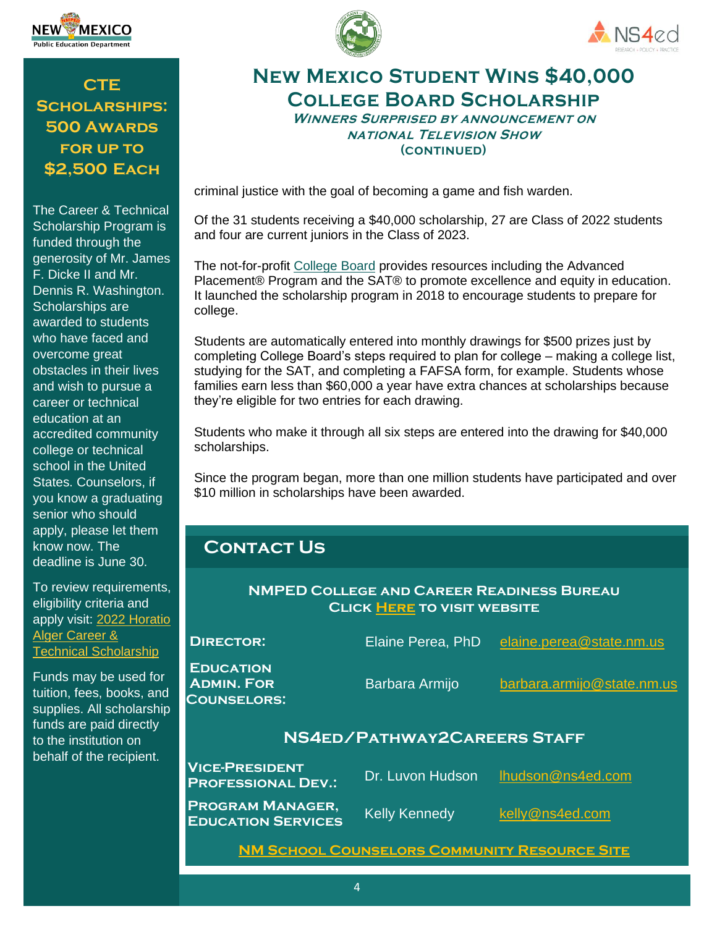

**CTE Scholarships: 500 Awards for up to \$2,500 Each**

The Career & Technical Scholarship Program is funded through the generosity of Mr. James F. Dicke II and Mr. Dennis R. Washington. Scholarships are awarded to students who have faced and overcome great obstacles in their lives and wish to pursue a career or technical education at an accredited community college or technical school in the United States. Counselors, if you know a graduating senior who should apply, please let them know now. The deadline is June 30.

To review requirements, eligibility criteria and apply visit: [2022 Horatio](https://app.smarterselect.com/programs/80850-Horatio-Alger-Association)  [Alger Career &](https://app.smarterselect.com/programs/80850-Horatio-Alger-Association)  [Technical Scholarship](https://app.smarterselect.com/programs/80850-Horatio-Alger-Association)

Funds may be used for tuition, fees, books, and supplies. All scholarship funds are paid directly to the institution on behalf of the recipient.





## **New Mexico Student Wins \$40,000 College Board Scholarship**

**Winners Surprised by announcement on national Television Show (continued)**

criminal justice with the goal of becoming a game and fish warden.

Of the 31 students receiving a \$40,000 scholarship, 27 are Class of 2022 students and four are current juniors in the Class of 2023.

The not-for-profit [College Board](http://collegeboard.org/) provides resources including the Advanced Placement® Program and the SAT® to promote excellence and equity in education. It launched the scholarship program in 2018 to encourage students to prepare for college.

Students are automatically entered into monthly drawings for \$500 prizes just by completing College Board's steps required to plan for college – making a college list, studying for the SAT, and completing a FAFSA form, for example. Students whose families earn less than \$60,000 a year have extra chances at scholarships because they're eligible for two entries for each drawing.

Students who make it through all six steps are entered into the drawing for \$40,000 scholarships.

Since the program began, more than one million students have participated and over \$10 million in scholarships have been awarded.

## **Contact Us**

#### **NMPED College and Career Readiness Bureau Click [Here](https://webnew.ped.state.nm.us/bureaus/college-career-readiness/) to visit website**

| <b>DIRECTOR:</b>                                            | Elaine Perea, PhD    | elaine.perea@state.nm.us   |  |
|-------------------------------------------------------------|----------------------|----------------------------|--|
| <b>EDUCATION</b><br><b>ADMIN. FOR</b><br><b>COUNSELORS:</b> | Barbara Armijo       | barbara.armijo@state.nm.us |  |
| NS4ED/PATHWAY2CAREERS STAFF                                 |                      |                            |  |
| <b>VICE-PRESIDENT</b><br><b>PROFESSIONAL DEV.:</b>          | Dr. Luvon Hudson     | Ihudson@ns4ed.com          |  |
| <b>PROGRAM MANAGER,</b><br><b>EDUCATION SERVICES</b>        | <b>Kelly Kennedy</b> | kelly@ns4ed.com            |  |
|                                                             |                      |                            |  |

**[NM School Counselors Community Resource Site](https://schoolcounselors-nm.com/)**